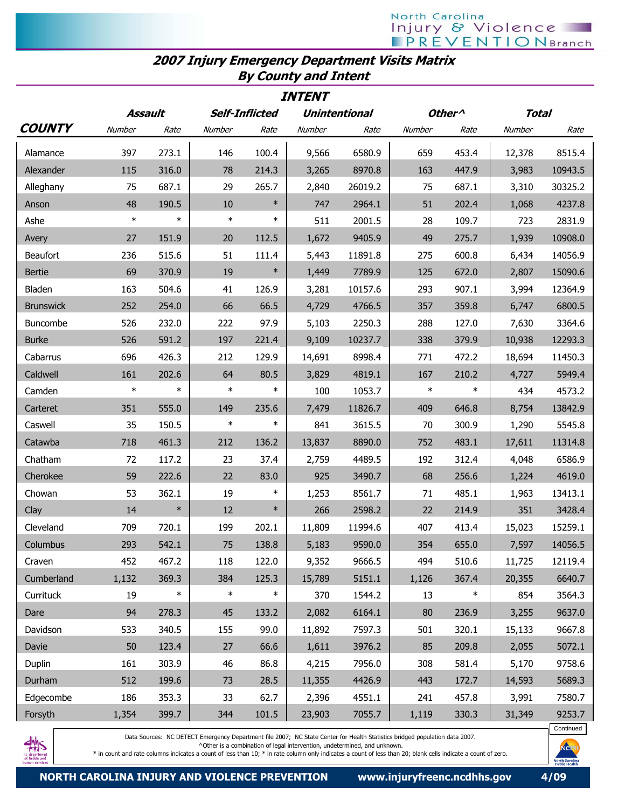## North Carolina **Injury & Violence**

## 2007 Injury Emergency Department Visits Matrix By County and Intent

| <b>INTENT</b>    |         |        |                       |        |                      |         |                    |        |              |         |
|------------------|---------|--------|-----------------------|--------|----------------------|---------|--------------------|--------|--------------|---------|
|                  | Assault |        | <b>Self-Inflicted</b> |        | <b>Unintentional</b> |         | Other <sup>^</sup> |        | <b>Total</b> |         |
| <b>COUNTY</b>    | Number  | Rate   | Number                | Rate   | Number               | Rate    | Number             | Rate   | Number       | Rate    |
| Alamance         | 397     | 273.1  | 146                   | 100.4  | 9,566                | 6580.9  | 659                | 453.4  | 12,378       | 8515.4  |
| Alexander        | 115     | 316.0  | 78                    | 214.3  | 3,265                | 8970.8  | 163                | 447.9  | 3,983        | 10943.5 |
| Alleghany        | 75      | 687.1  | 29                    | 265.7  | 2,840                | 26019.2 | 75                 | 687.1  | 3,310        | 30325.2 |
| Anson            | 48      | 190.5  | 10                    | $\ast$ | 747                  | 2964.1  | 51                 | 202.4  | 1,068        | 4237.8  |
| Ashe             | $\ast$  | $\ast$ | $\ast$                | $\ast$ | 511                  | 2001.5  | 28                 | 109.7  | 723          | 2831.9  |
| Avery            | 27      | 151.9  | 20                    | 112.5  | 1,672                | 9405.9  | 49                 | 275.7  | 1,939        | 10908.0 |
| Beaufort         | 236     | 515.6  | 51                    | 111.4  | 5,443                | 11891.8 | 275                | 600.8  | 6,434        | 14056.9 |
| <b>Bertie</b>    | 69      | 370.9  | 19                    | $\ast$ | 1,449                | 7789.9  | 125                | 672.0  | 2,807        | 15090.6 |
| Bladen           | 163     | 504.6  | 41                    | 126.9  | 3,281                | 10157.6 | 293                | 907.1  | 3,994        | 12364.9 |
| <b>Brunswick</b> | 252     | 254.0  | 66                    | 66.5   | 4,729                | 4766.5  | 357                | 359.8  | 6,747        | 6800.5  |
| Buncombe         | 526     | 232.0  | 222                   | 97.9   | 5,103                | 2250.3  | 288                | 127.0  | 7,630        | 3364.6  |
| <b>Burke</b>     | 526     | 591.2  | 197                   | 221.4  | 9,109                | 10237.7 | 338                | 379.9  | 10,938       | 12293.3 |
| Cabarrus         | 696     | 426.3  | 212                   | 129.9  | 14,691               | 8998.4  | 771                | 472.2  | 18,694       | 11450.3 |
| Caldwell         | 161     | 202.6  | 64                    | 80.5   | 3,829                | 4819.1  | 167                | 210.2  | 4,727        | 5949.4  |
| Camden           | $\ast$  | $\ast$ | $\ast$                | $\ast$ | 100                  | 1053.7  | $\ast$             | $\ast$ | 434          | 4573.2  |
| Carteret         | 351     | 555.0  | 149                   | 235.6  | 7,479                | 11826.7 | 409                | 646.8  | 8,754        | 13842.9 |
| Caswell          | 35      | 150.5  | $\ast$                | $\ast$ | 841                  | 3615.5  | 70                 | 300.9  | 1,290        | 5545.8  |
| Catawba          | 718     | 461.3  | 212                   | 136.2  | 13,837               | 8890.0  | 752                | 483.1  | 17,611       | 11314.8 |
| Chatham          | 72      | 117.2  | 23                    | 37.4   | 2,759                | 4489.5  | 192                | 312.4  | 4,048        | 6586.9  |
| Cherokee         | 59      | 222.6  | 22                    | 83.0   | 925                  | 3490.7  | 68                 | 256.6  | 1,224        | 4619.0  |
| Chowan           | 53      | 362.1  | 19                    | $\ast$ | 1,253                | 8561.7  | 71                 | 485.1  | 1,963        | 13413.1 |
| Clay             | 14      | $\ast$ | 12                    | $\ast$ | 266                  | 2598.2  | 22                 | 214.9  | 351          | 3428.4  |
| Cleveland        | 709     | 720.1  | 199                   | 202.1  | 11,809               | 11994.6 | 407                | 413.4  | 15,023       | 15259.1 |
| Columbus         | 293     | 542.1  | 75                    | 138.8  | 5,183                | 9590.0  | 354                | 655.0  | 7,597        | 14056.5 |
| Craven           | 452     | 467.2  | 118                   | 122.0  | 9,352                | 9666.5  | 494                | 510.6  | 11,725       | 12119.4 |
| Cumberland       | 1,132   | 369.3  | 384                   | 125.3  | 15,789               | 5151.1  | 1,126              | 367.4  | 20,355       | 6640.7  |
| Currituck        | 19      | $\ast$ | $\ast$                | $\ast$ | 370                  | 1544.2  | 13                 | $\ast$ | 854          | 3564.3  |
| Dare             | 94      | 278.3  | 45                    | 133.2  | 2,082                | 6164.1  | 80                 | 236.9  | 3,255        | 9637.0  |
| Davidson         | 533     | 340.5  | 155                   | 99.0   | 11,892               | 7597.3  | 501                | 320.1  | 15,133       | 9667.8  |
| Davie            | 50      | 123.4  | 27                    | 66.6   | 1,611                | 3976.2  | 85                 | 209.8  | 2,055        | 5072.1  |
| Duplin           | 161     | 303.9  | 46                    | 86.8   | 4,215                | 7956.0  | 308                | 581.4  | 5,170        | 9758.6  |
| Durham           | 512     | 199.6  | 73                    | 28.5   | 11,355               | 4426.9  | 443                | 172.7  | 14,593       | 5689.3  |
| Edgecombe        | 186     | 353.3  | 33                    | 62.7   | 2,396                | 4551.1  | 241                | 457.8  | 3,991        | 7580.7  |
| Forsyth          | 1,354   | 399.7  | 344                   | 101.5  | 23,903               | 7055.7  | 1,119              | 330.3  | 31,349       | 9253.7  |



Data Sources: NC DETECT Emergency Department file 2007; NC State Center for Health Statistics bridged population data 2007.

^Other is a combination of legal intervention, undetermined, and unknown.

\* in count and rate columns indicates a count of less than 10; \* in rate column only indicates a count of less than 20; blank cells indicate a count of zero.



Continued

Nei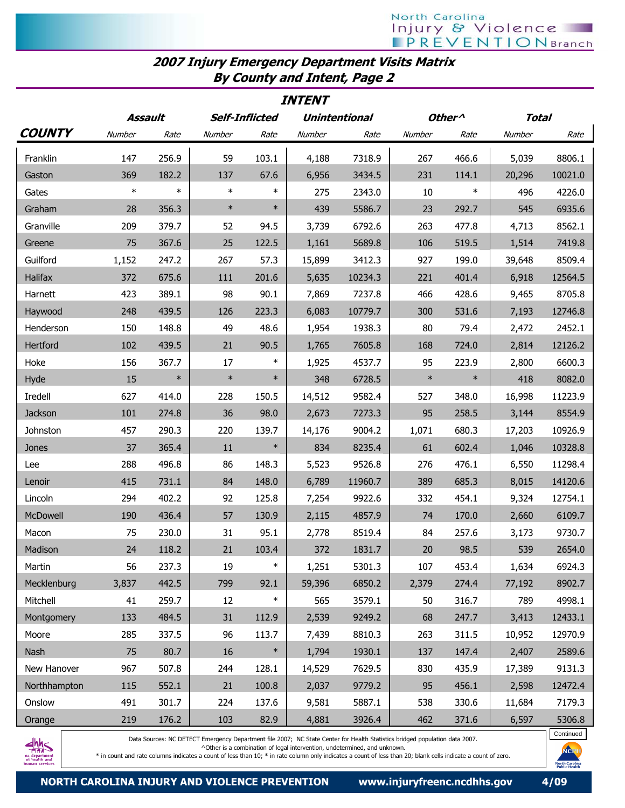## 2007 Injury Emergency Department Visits Matrix By County and Intent, Page 2

| <i><b>INTENT</b></i> |         |        |                       |        |                      |         |                    |        |              |         |
|----------------------|---------|--------|-----------------------|--------|----------------------|---------|--------------------|--------|--------------|---------|
|                      | Assault |        | <b>Self-Inflicted</b> |        | <b>Unintentional</b> |         | Other <sup>^</sup> |        | <b>Total</b> |         |
| <b>COUNTY</b>        | Number  | Rate   | Number                | Rate   | Number               | Rate    | Number             | Rate   | Number       | Rate    |
| Franklin             | 147     | 256.9  | 59                    | 103.1  | 4,188                | 7318.9  | 267                | 466.6  | 5,039        | 8806.1  |
| Gaston               | 369     | 182.2  | 137                   | 67.6   | 6,956                | 3434.5  | 231                | 114.1  | 20,296       | 10021.0 |
| Gates                | $\ast$  | $\ast$ | $\ast$                | $\ast$ | 275                  | 2343.0  | 10                 | $\ast$ | 496          | 4226.0  |
| Graham               | 28      | 356.3  | $\ast$                | $\ast$ | 439                  | 5586.7  | 23                 | 292.7  | 545          | 6935.6  |
| Granville            | 209     | 379.7  | 52                    | 94.5   | 3,739                | 6792.6  | 263                | 477.8  | 4,713        | 8562.1  |
| Greene               | 75      | 367.6  | 25                    | 122.5  | 1,161                | 5689.8  | 106                | 519.5  | 1,514        | 7419.8  |
| Guilford             | 1,152   | 247.2  | 267                   | 57.3   | 15,899               | 3412.3  | 927                | 199.0  | 39,648       | 8509.4  |
| Halifax              | 372     | 675.6  | 111                   | 201.6  | 5,635                | 10234.3 | 221                | 401.4  | 6,918        | 12564.5 |
| Harnett              | 423     | 389.1  | 98                    | 90.1   | 7,869                | 7237.8  | 466                | 428.6  | 9,465        | 8705.8  |
| Haywood              | 248     | 439.5  | 126                   | 223.3  | 6,083                | 10779.7 | 300                | 531.6  | 7,193        | 12746.8 |
| Henderson            | 150     | 148.8  | 49                    | 48.6   | 1,954                | 1938.3  | 80                 | 79.4   | 2,472        | 2452.1  |
| Hertford             | 102     | 439.5  | 21                    | 90.5   | 1,765                | 7605.8  | 168                | 724.0  | 2,814        | 12126.2 |
| Hoke                 | 156     | 367.7  | 17                    | $\ast$ | 1,925                | 4537.7  | 95                 | 223.9  | 2,800        | 6600.3  |
| Hyde                 | 15      | $\ast$ | $\ast$                | $\ast$ | 348                  | 6728.5  | $\ast$             | $\ast$ | 418          | 8082.0  |
| Iredell              | 627     | 414.0  | 228                   | 150.5  | 14,512               | 9582.4  | 527                | 348.0  | 16,998       | 11223.9 |
| Jackson              | 101     | 274.8  | 36                    | 98.0   | 2,673                | 7273.3  | 95                 | 258.5  | 3,144        | 8554.9  |
| Johnston             | 457     | 290.3  | 220                   | 139.7  | 14,176               | 9004.2  | 1,071              | 680.3  | 17,203       | 10926.9 |
| Jones                | 37      | 365.4  | 11                    | $\ast$ | 834                  | 8235.4  | 61                 | 602.4  | 1,046        | 10328.8 |
| Lee                  | 288     | 496.8  | 86                    | 148.3  | 5,523                | 9526.8  | 276                | 476.1  | 6,550        | 11298.4 |
| Lenoir               | 415     | 731.1  | 84                    | 148.0  | 6,789                | 11960.7 | 389                | 685.3  | 8,015        | 14120.6 |
| Lincoln              | 294     | 402.2  | 92                    | 125.8  | 7,254                | 9922.6  | 332                | 454.1  | 9,324        | 12754.1 |
| McDowell             | 190     | 436.4  | 57                    | 130.9  | 2,115                | 4857.9  | 74                 | 170.0  | 2,660        | 6109.7  |
| Macon                | 75      | 230.0  | 31                    | 95.1   | 2,778                | 8519.4  | 84                 | 257.6  | 3,173        | 9730.7  |
| Madison              | 24      | 118.2  | 21                    | 103.4  | 372                  | 1831.7  | $20\,$             | 98.5   | 539          | 2654.0  |
| Martin               | 56      | 237.3  | 19                    | $\ast$ | 1,251                | 5301.3  | 107                | 453.4  | 1,634        | 6924.3  |
| Mecklenburg          | 3,837   | 442.5  | 799                   | 92.1   | 59,396               | 6850.2  | 2,379              | 274.4  | 77,192       | 8902.7  |
| Mitchell             | 41      | 259.7  | 12                    | $\ast$ | 565                  | 3579.1  | 50                 | 316.7  | 789          | 4998.1  |
| Montgomery           | 133     | 484.5  | 31                    | 112.9  | 2,539                | 9249.2  | 68                 | 247.7  | 3,413        | 12433.1 |
| Moore                | 285     | 337.5  | 96                    | 113.7  | 7,439                | 8810.3  | 263                | 311.5  | 10,952       | 12970.9 |
| Nash                 | 75      | 80.7   | 16                    | $\ast$ | 1,794                | 1930.1  | 137                | 147.4  | 2,407        | 2589.6  |
| New Hanover          | 967     | 507.8  | 244                   | 128.1  | 14,529               | 7629.5  | 830                | 435.9  | 17,389       | 9131.3  |
| Northhampton         | 115     | 552.1  | 21                    | 100.8  | 2,037                | 9779.2  | 95                 | 456.1  | 2,598        | 12472.4 |
| Onslow               | 491     | 301.7  | 224                   | 137.6  | 9,581                | 5887.1  | 538                | 330.6  | 11,684       | 7179.3  |
| Orange               | 219     | 176.2  | 103                   | 82.9   | 4,881                | 3926.4  | 462                | 371.6  | 6,597        | 5306.8  |



Data Sources: NC DETECT Emergency Department file 2007; NC State Center for Health Statistics bridged population data 2007.

^Other is a combination of legal intervention, undetermined, and unknown.

\* in count and rate columns indicates a count of less than 10; \* in rate column only indicates a count of less than 20; blank cells indicate a count of zero.

Continued